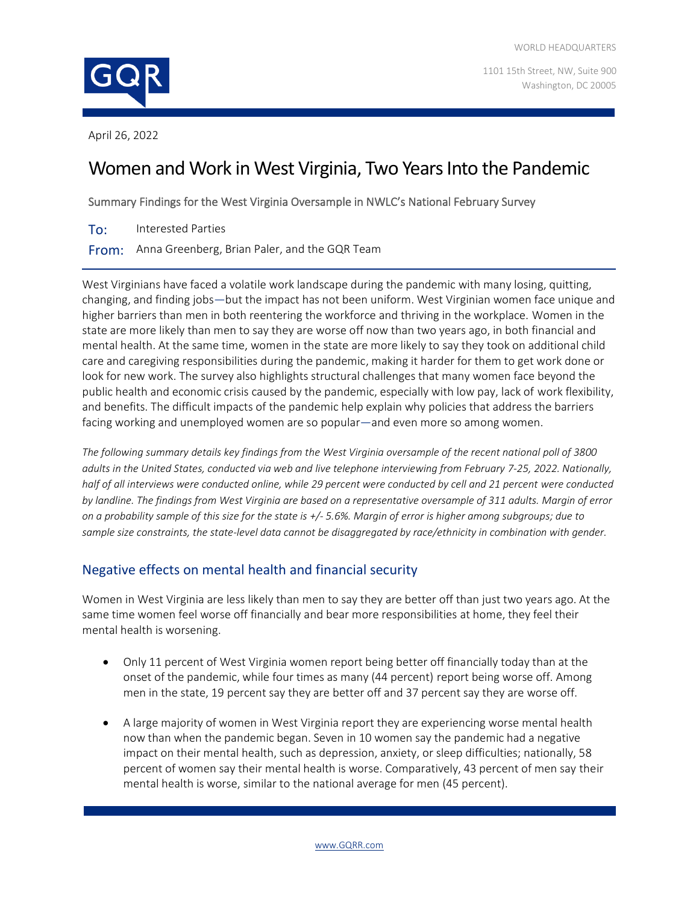

1101 15th Street, NW, Suite 900 Washington, DC 20005

April 26, 2022

# Women and Work in West Virginia, Two Years Into the Pandemic

Summary Findings for the West Virginia Oversample in NWLC's National February Survey

To: Interested Parties

From: Anna Greenberg, Brian Paler, and the GQR Team

West Virginians have faced a volatile work landscape during the pandemic with many losing, quitting, changing, and finding jobs—but the impact has not been uniform. West Virginian women face unique and higher barriers than men in both reentering the workforce and thriving in the workplace. Women in the state are more likely than men to say they are worse off now than two years ago, in both financial and mental health. At the same time, women in the state are more likely to say they took on additional child care and caregiving responsibilities during the pandemic, making it harder for them to get work done or look for new work. The survey also highlights structural challenges that many women face beyond the public health and economic crisis caused by the pandemic, especially with low pay, lack of work flexibility, and benefits. The difficult impacts of the pandemic help explain why policies that address the barriers facing working and unemployed women are so popular—and even more so among women.

*The following summary details key findings from the West Virginia oversample of the recent national poll of 3800 adults in the United States, conducted via web and live telephone interviewing from February 7-25, 2022. Nationally, half of all interviews were conducted online, while 29 percent were conducted by cell and 21 percent were conducted by landline. The findings from West Virginia are based on a representative oversample of 311 adults. Margin of error on a probability sample of this size for the state is +/- 5.6%. Margin of error is higher among subgroups; due to sample size constraints, the state-level data cannot be disaggregated by race/ethnicity in combination with gender.*

## Negative effects on mental health and financial security

Women in West Virginia are less likely than men to say they are better off than just two years ago. At the same time women feel worse off financially and bear more responsibilities at home, they feel their mental health is worsening.

- Only 11 percent of West Virginia women report being better off financially today than at the onset of the pandemic, while four times as many (44 percent) report being worse off. Among men in the state, 19 percent say they are better off and 37 percent say they are worse off.
- A large majority of women in West Virginia report they are experiencing worse mental health now than when the pandemic began. Seven in 10 women say the pandemic had a negative impact on their mental health, such as depression, anxiety, or sleep difficulties; nationally, 58 percent of women say their mental health is worse. Comparatively, 43 percent of men say their mental health is worse, similar to the national average for men (45 percent).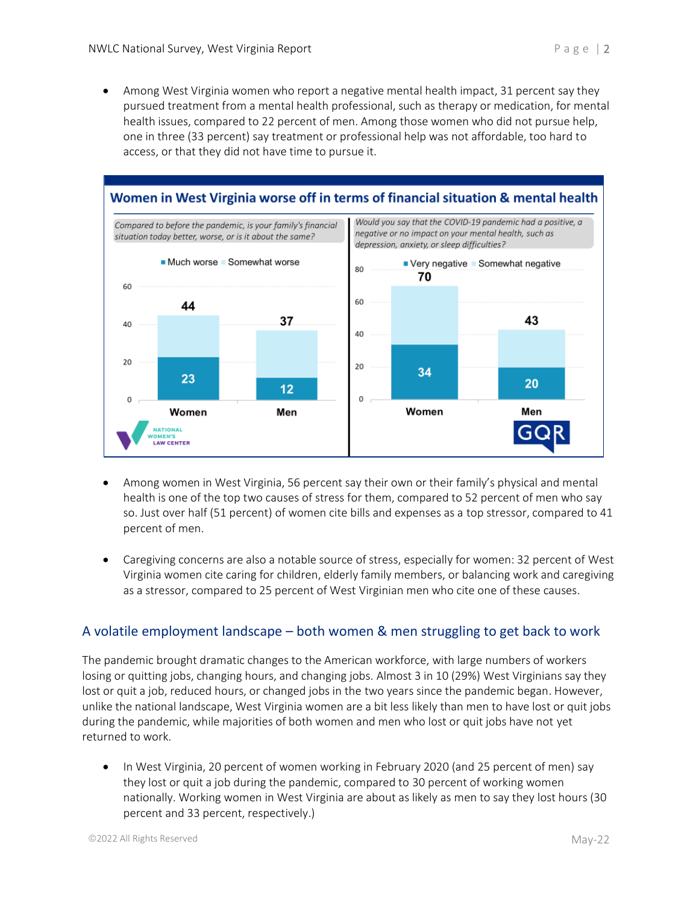• Among West Virginia women who report a negative mental health impact, 31 percent say they pursued treatment from a mental health professional, such as therapy or medication, for mental health issues, compared to 22 percent of men. Among those women who did not pursue help, one in three (33 percent) say treatment or professional help was not affordable, too hard to access, or that they did not have time to pursue it.



- Among women in West Virginia, 56 percent say their own or their family's physical and mental health is one of the top two causes of stress for them, compared to 52 percent of men who say so. Just over half (51 percent) of women cite bills and expenses as a top stressor, compared to 41 percent of men.
- Caregiving concerns are also a notable source of stress, especially for women: 32 percent of West Virginia women cite caring for children, elderly family members, or balancing work and caregiving as a stressor, compared to 25 percent of West Virginian men who cite one of these causes.

## A volatile employment landscape – both women & men struggling to get back to work

The pandemic brought dramatic changes to the American workforce, with large numbers of workers losing or quitting jobs, changing hours, and changing jobs. Almost 3 in 10 (29%) West Virginians say they lost or quit a job, reduced hours, or changed jobs in the two years since the pandemic began. However, unlike the national landscape, West Virginia women are a bit less likely than men to have lost or quit jobs during the pandemic, while majorities of both women and men who lost or quit jobs have not yet returned to work.

• In West Virginia, 20 percent of women working in February 2020 (and 25 percent of men) say they lost or quit a job during the pandemic, compared to 30 percent of working women nationally. Working women in West Virginia are about as likely as men to say they lost hours (30 percent and 33 percent, respectively.)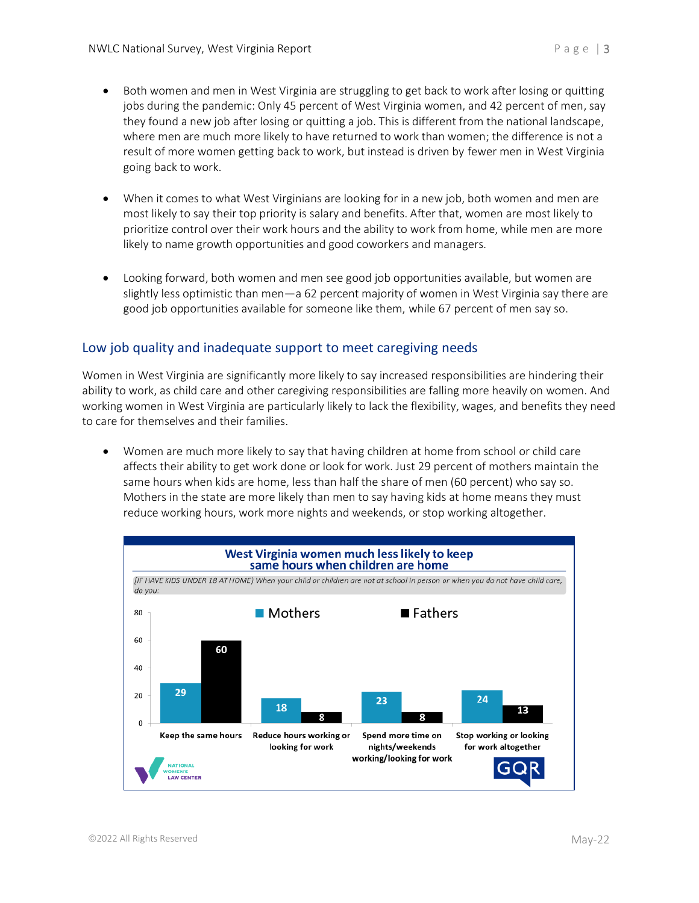- Both women and men in West Virginia are struggling to get back to work after losing or quitting jobs during the pandemic: Only 45 percent of West Virginia women, and 42 percent of men, say they found a new job after losing or quitting a job. This is different from the national landscape, where men are much more likely to have returned to work than women; the difference is not a result of more women getting back to work, but instead is driven by fewer men in West Virginia going back to work.
- When it comes to what West Virginians are looking for in a new job, both women and men are most likely to say their top priority is salary and benefits. After that, women are most likely to prioritize control over their work hours and the ability to work from home, while men are more likely to name growth opportunities and good coworkers and managers.
- Looking forward, both women and men see good job opportunities available, but women are slightly less optimistic than men—a 62 percent majority of women in West Virginia say there are good job opportunities available for someone like them, while 67 percent of men say so.

## Low job quality and inadequate support to meet caregiving needs

Women in West Virginia are significantly more likely to say increased responsibilities are hindering their ability to work, as child care and other caregiving responsibilities are falling more heavily on women. And working women in West Virginia are particularly likely to lack the flexibility, wages, and benefits they need to care for themselves and their families.

• Women are much more likely to say that having children at home from school or child care affects their ability to get work done or look for work. Just 29 percent of mothers maintain the same hours when kids are home, less than half the share of men (60 percent) who say so. Mothers in the state are more likely than men to say having kids at home means they must reduce working hours, work more nights and weekends, or stop working altogether.